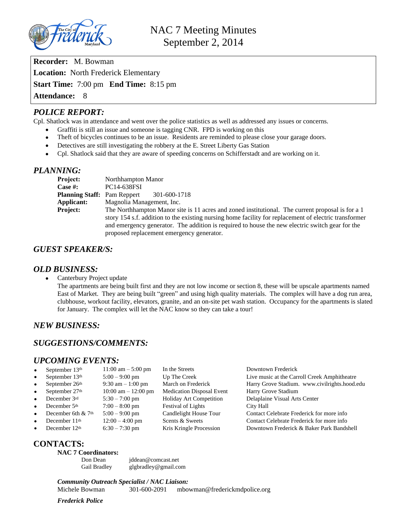

**Recorder:** M. Bowman **Location:** North Frederick Elementary **Start Time:** 7:00 pm **End Time:** 8:15 pm **Attendance:** 8

## *POLICE REPORT:*

Cpl. Shatlock was in attendance and went over the police statistics as well as addressed any issues or concerns.

- Graffiti is still an issue and someone is tagging CNR. FPD is working on this
- Theft of bicycles continues to be an issue. Residents are reminded to please close your garage doors.
- Detectives are still investigating the robbery at the E. Street Liberty Gas Station
- Cpl. Shatlock said that they are aware of speeding concerns on Schifferstadt and are working on it.

## *PLANNING:*

| Project:                           | Northhampton Manor                                                                                    |
|------------------------------------|-------------------------------------------------------------------------------------------------------|
| Case #:                            | PC14-638FSI                                                                                           |
| <b>Planning Staff:</b> Pam Reppert | 301-600-1718                                                                                          |
| Applicant:                         | Magnolia Management, Inc.                                                                             |
| <b>Project:</b>                    | The Northhampton Manor site is 11 acres and zoned institutional. The current proposal is for a 1      |
|                                    | story 154 s.f. addition to the existing nursing home facility for replacement of electric transformer |
|                                    | and emergency generator. The addition is required to house the new electric switch gear for the       |
|                                    | proposed replacement emergency generator.                                                             |

## *GUEST SPEAKER/S:*

### *OLD BUSINESS:*

• Canterbury Project update

The apartments are being built first and they are not low income or section 8, these will be upscale apartments named East of Market. They are being built "green" and using high quality materials. The complex will have a dog run area, clubhouse, workout facility, elevators, granite, and an on-site pet wash station. Occupancy for the apartments is slated for January. The complex will let the NAC know so they can take a tour!

## *NEW BUSINESS:*

# *SUGGESTIONS/COMMENTS:*

### *UPCOMING EVENTS:*

| $\bullet$ | September 13th       | $11:00 \text{ am} - 5:00 \text{ pm}$ | In the Streets                   | Downtown Frederick                            |
|-----------|----------------------|--------------------------------------|----------------------------------|-----------------------------------------------|
| $\bullet$ | September 13th       | $5:00 - 9:00$ pm                     | Up The Creek                     | Live music at the Carroll Creek Amphitheatre  |
| $\bullet$ | September 26th       | $9:30$ am $-1:00$ pm                 | March on Frederick               | Harry Grove Stadium. www.civilrights.hood.edu |
| $\bullet$ | September 27th       | 10:00 am $- 12:00$ pm                | <b>Medication Disposal Event</b> | Harry Grove Stadium                           |
| $\bullet$ | December 3rd         | $5:30 - 7:00$ pm                     | <b>Holiday Art Competition</b>   | Delaplaine Visual Arts Center                 |
| $\bullet$ | December 5th         | $7:00 - 8:00$ pm                     | <b>Festival of Lights</b>        | City Hall                                     |
| $\bullet$ | December 6th $& 7th$ | $5:00 - 9:00$ pm                     | Candlelight House Tour           | Contact Celebrate Frederick for more info     |
| $\bullet$ | December 11th        | $12:00 - 4:00$ pm                    | Scents & Sweets                  | Contact Celebrate Frederick for more info     |
| $\bullet$ | December 12th        | $6:30 - 7:30$ pm                     | Kris Kringle Procession          | Downtown Frederick & Baker Park Bandshell     |
|           |                      |                                      |                                  |                                               |

# **CONTACTS:**

### **NAC 7 Coordinators:**

Don Dean [jddean@comcast.net](mailto:jddean@comcast.net) Gail Bradley [glgbradley@gmail.com](mailto:glgbradley@gmail.com)

*Community Outreach Specialist / NAC Liaison:* Michele Bowman 301-600-2091 [mbowman@frederickmdpolice.org](mailto:mbowman@frederickmdpolice.org)

*Frederick Police*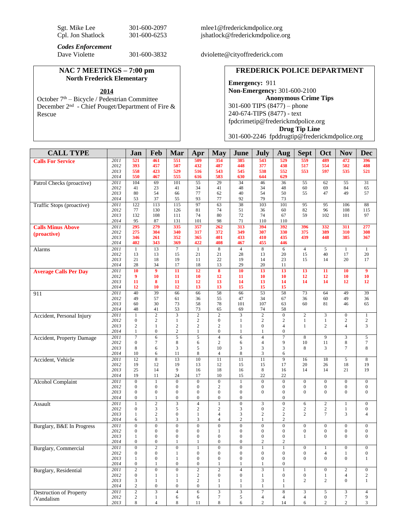| Sgt. Mike Lee     | 301-600-2097 |
|-------------------|--------------|
| Cpl. Jon Shatlock | 301-600-6253 |

[mlee1@frederickmdpolice.org](mailto:mlee1@frederickmdpolice.org) jshatlock@frederickmdpolice.org

*Codes Enforcement*

#### **NAC 7 MEETINGS – 7:00 pm North Frederick Elementary**

October 7<sup>th</sup> – Bicycle / Pedestrian Committee December 2nd - Chief Pouget/Department of Fire & Rescue

301-600-3832 dviolette@cityoffrederick.com

## **FREDERICK POLICE DEPARTMENT**

**Emergency:** 911 **Non-Emergency:** 301-600-2100 **Anonymous Crime Tips** 301-600 TIPS (8477) – phone 240-674-TIPS (8477) - text [fpdcrimetip@frederickmdpolice.org](mailto:fpdcrimetip@frederickmdpolice.org) **Drug Tip Line** 301-600-2246 fpddrugtip@frederickmdpolice.org

| <b>CALL TYPE</b>               |              | Jan                                | Feb                              | Mar                                  | Apr                              | <b>May</b>                         | June                                 | <b>July</b>                        | Aug                                  | <b>Sept</b>                      | Oct                              | <b>Nov</b>                         | <b>Dec</b>                           |
|--------------------------------|--------------|------------------------------------|----------------------------------|--------------------------------------|----------------------------------|------------------------------------|--------------------------------------|------------------------------------|--------------------------------------|----------------------------------|----------------------------------|------------------------------------|--------------------------------------|
| <b>Calls For Service</b>       | 2011         | 521                                | 461                              | 551                                  | 509                              | 354                                | 385                                  | 543                                | 529                                  | 559                              | 489                              | 472                                | 396                                  |
|                                | 2012         | 393                                | 457                              | 507<br>529                           | 432                              | 487                                | 448                                  | 377                                | 438                                  | 517<br>553                       | 554                              | 502                                | 488                                  |
|                                | 2013<br>2014 | 558<br>550                         | 423<br>467                       | 555                                  | 516<br>616                       | 543<br>583                         | 545<br>630                           | 538<br>644                         | 552<br>629                           |                                  | 597                              | 535                                | 521                                  |
| Patrol Checks (proactive)      | 2011         | 104                                | 69                               | 101                                  | 55                               | $\overline{29}$                    | $\overline{34}$                      | 46                                 | 36                                   | 55                               | 62                               | 55                                 | 31                                   |
|                                | 2012         | 41                                 | 23                               | 41                                   | 34                               | 41                                 | 48                                   | 34                                 | 48                                   | 60                               | 69                               | 84                                 | 65                                   |
|                                | 2013<br>2014 | 80<br>53                           | 54<br>37                         | 66<br>55                             | 77<br>93                         | 62<br>77                           | 40<br>92                             | 54<br>79                           | 50<br>73                             | 55                               | 47                               | 49                                 | 57                                   |
| Traffic Stops (proactive)      | 2011         | 122                                | 113                              | 115                                  | 97                               | 63                                 | 38                                   | 103                                | 101                                  | 95                               | 95                               | 106                                | 88                                   |
|                                | 2012         | 77                                 | 130                              | 126                                  | 81                               | 74                                 | 51                                   | 36                                 | 60                                   | 82                               | 96                               | 108                                | 115                                  |
|                                | 2013<br>2014 | 132<br>95                          | 108<br>87                        | 111<br>131                           | 74<br>101                        | 80<br>98                           | 72<br>71                             | 74<br>110                          | 67<br>110                            | 59                               | 102                              | 101                                | 97                                   |
| <b>Calls Minus Above</b>       | 2011         | 295                                | 279                              | 335                                  | 357                              | 262                                | 313                                  | 394                                | 392                                  | 396                              | 332                              | 311                                | 277                                  |
| (proactive)                    | 2012         | 275                                | 304                              | 340                                  | 317                              | 372                                | 349                                  | 307                                | 330                                  | 375                              | 389                              | 310                                | 308                                  |
|                                | 2013         | 346                                | 261                              | 352                                  | 365                              | 401                                | 433                                  | 410                                | 435                                  | 439                              | 448                              | 385                                | 367                                  |
| Alarms                         | 2014<br>2011 | 402<br>$\mathbf{1}$                | 343<br>13                        | 369<br>$\overline{7}$                | 422<br>$\mathbf{1}$              | 408<br>8                           | 467<br>$\overline{4}$                | 455<br>8                           | 446<br>6                             | $\overline{4}$                   | 5                                | $\mathbf{1}$                       | $\mathbf{1}$                         |
|                                | 2012         | 13                                 | 13                               | 15                                   | 21                               | 21                                 | 28                                   | 13                                 | 20                                   | 15                               | 40                               | 17                                 | 20                                   |
|                                | 2013         | 21                                 | 18                               | 19                                   | 11                               | 22                                 | 19                                   | 14                                 | 23                                   | 15                               | 14                               | 20                                 | 17                                   |
|                                | 2014         | 28<br>10                           | 34<br>$\overline{9}$             | 17                                   | 18                               | 13<br>8                            | 29<br>10                             | 20                                 | 11                                   |                                  | $\overline{11}$                  | 10                                 | $\overline{9}$                       |
| <b>Average Calls Per Day</b>   | 2011<br>2012 | 9                                  | 10                               | 11<br>11                             | 12<br>10                         | 12                                 | 11                                   | 13<br>10                           | 13<br>10                             | 13<br>12                         | 12                               | 10                                 | 10                                   |
|                                | 2013         | 11                                 | 8                                | 11                                   | 12                               | 13                                 | 14                                   | 13                                 | 14                                   | 14                               | 14                               | 12                                 | 12                                   |
|                                | 2014         | 12                                 | 10                               | 12                                   | 13                               | 13                                 | 15                                   | 15                                 | 15                                   |                                  |                                  |                                    |                                      |
| 911                            | 2011<br>2012 | 40<br>49                           | 39<br>57                         | 66<br>61                             | 66<br>36                         | 58<br>55                           | 66<br>47                             | $\overline{53}$<br>34              | 58<br>67                             | 73<br>36                         | 64<br>60                         | 49<br>49                           | 39<br>36                             |
|                                | 2013         | 60                                 | 30                               | 73                                   | 58                               | 78                                 | 101                                  | 107                                | 63                                   | 60                               | 81                               | 46                                 | 65                                   |
|                                | 2014         | 48                                 | 41                               | 53                                   | 73                               | 65                                 | 69                                   | 74                                 | 58                                   |                                  |                                  |                                    |                                      |
| Accident, Personal Injury      | 2011         | $\mathbf{1}$                       | $\overline{c}$                   | 3                                    | $\sqrt{2}$                       | $\mathbf{2}$                       | 3                                    | $\mathbf{2}$                       | $\boldsymbol{0}$                     | $\overline{c}$                   | 3                                | $\boldsymbol{0}$                   | $\mathbf{1}$                         |
|                                | 2012<br>2013 | $\overline{0}$<br>$\overline{c}$   | $\overline{c}$<br>$\mathbf{1}$   | $\mathbf{1}$<br>$\overline{c}$       | $\mathbf{2}$<br>$\mathbf{2}$     | $\boldsymbol{0}$<br>$\overline{2}$ | $\mathbf{1}$<br>1                    | $\overline{c}$<br>$\boldsymbol{0}$ | $\mathfrak{2}$<br>$\overline{4}$     | $\mathbf{1}$<br>$\mathbf{1}$     | $\mathbf{1}$<br>2                | $\boldsymbol{2}$<br>$\overline{4}$ | $\overline{c}$<br>3                  |
|                                | 2014         | 1                                  | $\boldsymbol{0}$                 | $\sqrt{2}$                           | $\mathbf{1}$                     | $\boldsymbol{0}$                   | 1                                    | 1                                  | $\boldsymbol{0}$                     |                                  |                                  |                                    |                                      |
| Accident, Property Damage      | 2011         | $\overline{\tau}$                  | $\overline{6}$                   | $\overline{5}$                       | $\overline{5}$                   | $\overline{4}$                     | 6                                    | $\overline{4}$                     | $\overline{7}$                       | $\overline{8}$                   | 9                                | $\overline{\mathbf{3}}$            | 5                                    |
|                                | 2012<br>2013 | $\mathbf{0}$<br>8                  | $\overline{7}$<br>6              | 8<br>3                               | 6<br>5                           | 2<br>10                            | 6<br>3                               | $\overline{4}$<br>3                | 9<br>3                               | 10<br>8                          | 11<br>3                          | 8<br>$\tau$                        | $\boldsymbol{7}$<br>$\,8\,$          |
|                                | 2014         | 10                                 | 6                                | 11                                   | 8                                | $\overline{4}$                     | 8                                    | 3                                  | 6                                    |                                  |                                  |                                    |                                      |
| Accident, Vehicle              | 2011         | 12                                 | $\overline{8}$                   | 13                                   | 10                               | 11                                 | 11                                   | 11                                 | 9                                    | 16                               | 18                               | 5                                  | 8                                    |
|                                | 2012         | 19                                 | 12                               | 19<br>9                              | 13                               | 12                                 | 15                                   | 15                                 | 17                                   | 20                               | 26                               | 18                                 | 19                                   |
|                                | 2013<br>2014 | 25<br>19                           | 14<br>11                         | 24                                   | 16<br>17                         | 18<br>10                           | 16<br>15                             | 8<br>22                            | 16<br>22                             | 14                               | 14                               | 21                                 | 19                                   |
| <b>Alcohol Complaint</b>       | 2011         | $\mathbf{0}$                       | $\mathbf{1}$                     | $\boldsymbol{0}$                     | $\boldsymbol{0}$                 | $\boldsymbol{0}$                   | $\mathbf{1}$                         | $\boldsymbol{0}$                   | $\boldsymbol{0}$                     | $\boldsymbol{0}$                 | $\boldsymbol{0}$                 | $\boldsymbol{0}$                   | $\mathbf{0}$                         |
|                                | 2012         | $\mathbf{0}$                       | $\mathbf{0}$                     | $\boldsymbol{0}$                     | $\mathbf{0}$                     | $\overline{2}$                     | $\boldsymbol{0}$                     | $\boldsymbol{0}$                   | $\boldsymbol{0}$                     | $\boldsymbol{0}$                 | $\boldsymbol{0}$                 | $\boldsymbol{0}$                   | $\mathbf{0}$                         |
|                                | 2013<br>2014 | $\mathbf{0}$<br>$\mathbf{0}$       | $\boldsymbol{0}$<br>$\mathbf{1}$ | $\boldsymbol{0}$<br>$\boldsymbol{0}$ | $\mathbf{0}$<br>$\boldsymbol{0}$ | $\mathbf{0}$<br>$\boldsymbol{0}$   | $\boldsymbol{0}$<br>$\boldsymbol{0}$ | $\mathbf{0}$                       | $\boldsymbol{0}$<br>$\boldsymbol{0}$ | $\Omega$                         | $\Omega$                         | $\overline{0}$                     | $\boldsymbol{0}$                     |
| Assault                        | 2011         | 1                                  | $\overline{c}$                   | 3                                    | $\overline{4}$                   | $\mathbf{1}$                       | $\overline{0}$                       | 3                                  | $\boldsymbol{0}$                     | 6                                | $\sqrt{2}$                       | $\mathbf{1}$                       | $\mathbf{0}$                         |
|                                | 2012         | $\mathbf{0}$                       | 3                                | 5                                    | $\mathbf{2}$                     | $\overline{2}$                     | $\mathfrak{Z}$                       | $\overline{0}$                     | $\sqrt{2}$                           | $\sqrt{2}$                       | $\sqrt{2}$                       | 1                                  | $\mathbf{0}$                         |
|                                | 2013<br>2014 | $\mathbf{1}$<br>6                  | $\overline{c}$<br>3              | $\boldsymbol{0}$<br>3                | $\mathbf{1}$<br>3                | $\overline{4}$<br>$\overline{4}$   | 3<br>$\overline{c}$                  | $\overline{c}$<br>$\mathbf{1}$     | $\mathbf{2}$<br>$\overline{2}$       | $\overline{2}$                   | $\tau$                           | 3                                  | $\overline{4}$                       |
| Burglary, B&E In Progress      | 2011         | $\mathbf{0}$                       | $\overline{0}$                   | $\overline{0}$                       | $\overline{0}$                   | $\boldsymbol{0}$                   | $\boldsymbol{0}$                     | $\overline{0}$                     | $\boldsymbol{0}$                     | $\boldsymbol{0}$                 | $\boldsymbol{0}$                 | $\boldsymbol{0}$                   | $\mathbf{0}$                         |
|                                | 2012         | $\mathbf{0}$                       | $\boldsymbol{0}$                 | $\boldsymbol{0}$                     | $\boldsymbol{0}$                 | 1                                  | $\boldsymbol{0}$                     | $\boldsymbol{0}$                   | $\boldsymbol{0}$                     | $\boldsymbol{0}$                 | $\boldsymbol{0}$                 | $\boldsymbol{0}$                   | $\boldsymbol{0}$                     |
|                                | 2013         | 1                                  | $\boldsymbol{0}$                 | $\boldsymbol{0}$                     | $\boldsymbol{0}$                 | $\mathbf{0}$                       | $\boldsymbol{0}$                     | $\boldsymbol{0}$                   | $\boldsymbol{0}$                     | $\mathbf{1}$                     | $\mathbf{0}$                     | $\mathbf{0}$                       | $\mathbf{0}$                         |
|                                | 2014         | $\overline{0}$                     | $\mathbf{0}$                     | 1                                    | 1                                | $\mathbf{0}$                       | $\overline{0}$                       | $\overline{c}$                     | $\mathbf{2}$<br>1                    |                                  |                                  |                                    |                                      |
| Burglary, Commercial           | 2011<br>2012 | 0<br>$\boldsymbol{0}$              | 2<br>$\boldsymbol{0}$            | $\boldsymbol{0}$<br>$\mathbf{1}$     | 1<br>$\boldsymbol{0}$            | $\bf{0}$<br>$\mathbf{0}$           | 0<br>$\boldsymbol{0}$                | $\boldsymbol{0}$                   | $\boldsymbol{0}$                     | 0<br>$\boldsymbol{0}$            | 1<br>$\overline{4}$              | 0<br>1                             | $\boldsymbol{0}$<br>$\boldsymbol{0}$ |
|                                | 2013         | $\mathbf{1}$                       | $\boldsymbol{0}$                 | 1                                    | $\mathbf{0}$                     | $\boldsymbol{0}$                   | $\boldsymbol{0}$                     | $\boldsymbol{0}$                   | $\boldsymbol{0}$                     | $\mathbf{0}$                     | $\mathbf{0}$                     | $\boldsymbol{0}$                   | $\mathbf{1}$                         |
|                                | 2014         | $\boldsymbol{0}$                   | 1                                | $\boldsymbol{0}$                     | $\boldsymbol{0}$                 | $\mathbf{1}$                       | 1                                    | 1                                  | $\boldsymbol{0}$                     |                                  |                                  |                                    |                                      |
| Burglary, Residential          | 2011<br>2012 | $\overline{2}$<br>$\boldsymbol{0}$ | $\overline{0}$<br>$\mathbf{1}$   | $\overline{0}$<br>$\mathbf{1}$       | $\overline{2}$<br>$\mathbf{2}$   | $\overline{2}$<br>$\boldsymbol{0}$ | $\overline{4}$<br>$\boldsymbol{0}$   | $\overline{3}$<br>$\mathbf{1}$     | $\mathbf{1}$<br>$\boldsymbol{0}$     | $\mathbf{1}$<br>$\boldsymbol{0}$ | $\boldsymbol{0}$<br>$\mathbf{1}$ | $\overline{2}$<br>$\overline{4}$   | $\boldsymbol{0}$<br>$\overline{c}$   |
|                                | 2013         | 3                                  | $\mathbf{1}$                     | $\mathbf{1}$                         | $\sqrt{2}$                       | $\mathbf{1}$                       | $\mathbf{1}$                         | 3                                  | $\mathbf{1}$                         | $\mathbf{2}$                     | $\overline{2}$                   | $\boldsymbol{0}$                   | $\mathbf{1}$                         |
|                                | 2014         | $\sqrt{2}$                         | $\boldsymbol{0}$                 | $\boldsymbol{0}$                     | $\boldsymbol{0}$                 | $\mathbf{1}$                       | $\mathbf{1}$                         | $\mathbf{1}$                       | $\mathbf{1}$                         |                                  |                                  |                                    |                                      |
| <b>Destruction of Property</b> | 2011         | $\overline{2}$<br>$\overline{c}$   | $\overline{3}$                   | $\overline{4}$                       | $\sqrt{6}$                       | $\overline{\mathbf{3}}$<br>$\tau$  | $\overline{\mathbf{3}}$<br>5         | $\overline{7}$                     | $\bf 8$                              | $\ensuremath{\mathsf{3}}$        | 5<br>$\boldsymbol{0}$            | $\overline{3}$<br>$\tau$           | $\overline{4}$<br>9                  |
| /Vandalism                     | 2012<br>2013 | 8                                  | $\mathbf{1}$<br>$\overline{4}$   | 6<br>8                               | 6<br>11                          | $\,8\,$                            | 6                                    | 4<br>$\overline{c}$                | $\overline{4}$<br>14                 | $\overline{4}$<br>6              | $\overline{c}$                   | $\overline{c}$                     | 3                                    |
|                                |              |                                    |                                  |                                      |                                  |                                    |                                      |                                    |                                      |                                  |                                  |                                    |                                      |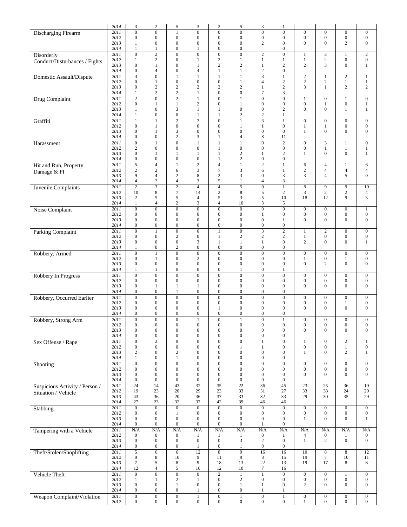|                                | 2014         | 3                                | $\sqrt{2}$              | 5                | $\mathfrak{Z}$   | $\overline{c}$   | 5                       | 3                              | 1                |                              |                    |                                  |                                    |
|--------------------------------|--------------|----------------------------------|-------------------------|------------------|------------------|------------------|-------------------------|--------------------------------|------------------|------------------------------|--------------------|----------------------------------|------------------------------------|
| <b>Discharging Firearm</b>     | 2011         | $\overline{0}$                   | $\overline{0}$          | $\mathbf{1}$     | $\overline{0}$   | $\overline{0}$   | $\boldsymbol{0}$        | $\overline{0}$                 | $\overline{0}$   | $\boldsymbol{0}$             | $\boldsymbol{0}$   | $\overline{0}$                   | $\boldsymbol{0}$                   |
|                                | 2012         | $\mathbf{0}$                     | $\boldsymbol{0}$        | $\boldsymbol{0}$ | $\boldsymbol{0}$ | $\mathbf{0}$     | $\boldsymbol{0}$        | $\boldsymbol{0}$               | $\boldsymbol{0}$ | $\boldsymbol{0}$             | $\boldsymbol{0}$   | $\boldsymbol{0}$                 | $\boldsymbol{0}$                   |
|                                | 2013         | 1                                | $\boldsymbol{0}$        | $\boldsymbol{0}$ | $\boldsymbol{0}$ | $\mathbf{0}$     | $\boldsymbol{0}$        | $\overline{c}$                 | $\boldsymbol{0}$ | $\theta$                     | $\mathbf{0}$       | $\overline{c}$                   | $\mathbf{0}$                       |
|                                | 2014         | 1                                | 1                       | $\boldsymbol{0}$ | 1                | $\mathbf{0}$     | $\boldsymbol{0}$        |                                | $\boldsymbol{0}$ |                              |                    |                                  |                                    |
|                                | 2011         |                                  | $\overline{2}$          | $\boldsymbol{0}$ | $\boldsymbol{0}$ | $\boldsymbol{0}$ | $\boldsymbol{0}$        |                                | $\boldsymbol{0}$ |                              |                    |                                  |                                    |
| Disorderly                     | 2012         | $\boldsymbol{0}$<br>$\mathbf{1}$ | $\sqrt{2}$              | $\boldsymbol{0}$ | $\mathbf{1}$     | $\sqrt{2}$       | $\mathbf{1}$            | $\overline{c}$<br>$\mathbf{1}$ |                  | $\mathbf{1}$<br>$\mathbf{1}$ | 3<br>$\sqrt{2}$    | $\mathbf{1}$<br>$\boldsymbol{0}$ | $\overline{c}$<br>$\boldsymbol{0}$ |
| Conduct/Disturbances / Fights  |              |                                  |                         |                  |                  | $\sqrt{2}$       |                         |                                | 1                | $\overline{c}$               | 3                  |                                  |                                    |
|                                | 2013<br>2014 | $\boldsymbol{0}$                 | $\mathbf{1}$            | $\boldsymbol{0}$ | $\mathbf{1}$     |                  | $\overline{c}$          | 1                              | $\sqrt{2}$       |                              |                    | $\boldsymbol{0}$                 | $\mathbf{1}$                       |
|                                |              | $\boldsymbol{0}$                 | $\overline{4}$          | $\boldsymbol{0}$ | $\overline{4}$   | 1                | $\mathbf{1}$            | $\mathbf{2}$                   | $\boldsymbol{0}$ |                              |                    |                                  |                                    |
| Domestic Assault/Dispute       | 2011         | $\overline{4}$                   | $\boldsymbol{0}$        | $\mathbf{1}$     | $\mathbf{1}$     | $\mathbf{1}$     | $\mathbf{1}$            | $\overline{\mathbf{3}}$        | $\mathbf{1}$     | $\overline{c}$               | $\mathbf{1}$       | $\overline{c}$                   | $\mathbf{1}$                       |
|                                | 2012         | $\mathbf{0}$                     | $\mathbf{1}$            | $\boldsymbol{0}$ | $\boldsymbol{0}$ | $\mathbf{0}$     | $\mathbf{1}$            | $\overline{4}$                 | $\sqrt{2}$       | $\mathbf{2}$                 | $\mathbf{2}$       | $\mathbf{1}$                     | $\,1$                              |
|                                | 2013         | $\boldsymbol{0}$                 | $\mathbf{2}$            | 2                | 2                | 2                | $\overline{c}$          | $\mathbf{1}$                   | $\mathbf{2}$     | 3                            | 1                  | 2                                | $\mathbf{2}$                       |
|                                | 2014         | 1                                | $\mathbf{2}$            | $\sqrt{2}$       | $\mathbf{1}$     | $\boldsymbol{0}$ | $\boldsymbol{0}$        | $\tau$                         | 3                |                              |                    |                                  |                                    |
| <b>Drug Complaint</b>          | 2011         | $\overline{2}$                   | $\overline{0}$          | $\overline{2}$   | $\mathbf{1}$     | $\overline{0}$   | $\mathbf{1}$            | $\overline{0}$                 | $\boldsymbol{0}$ | 1                            | $\boldsymbol{0}$   | $\mathbf{1}$                     | $\boldsymbol{0}$                   |
|                                | 2012         | $\overline{0}$                   | 1                       | $\mathbf{1}$     | $\sqrt{2}$       | $\mathbf{0}$     | 1                       | $\boldsymbol{0}$               | $\boldsymbol{0}$ | $\boldsymbol{0}$             | 1                  | $\boldsymbol{0}$                 | $\mathbf{1}$                       |
|                                | 2013         | $\mathbf{1}$                     | $\boldsymbol{0}$        | 3                | $\mathbf{1}$     | $\mathbf{1}$     | $\boldsymbol{0}$        | $\boldsymbol{0}$               | $\mathbf{2}$     | $\overline{0}$               | $\overline{0}$     | $\mathbf{1}$                     | $\mathbf{1}$                       |
|                                | 2014         | $\mathbf{1}$                     | $\boldsymbol{0}$        | $\boldsymbol{0}$ | $\mathbf{1}$     | 1                | $\overline{c}$          | $\mathbf{2}$                   | 1                |                              |                    |                                  |                                    |
| Graffiti                       | 2011         | $\mathbf{1}$                     | $\mathbf{1}$            | $\overline{2}$   | $\overline{2}$   | $\overline{0}$   | $\mathbf{1}$            | $\overline{\mathbf{3}}$        | $\mathbf{1}$     | $\boldsymbol{0}$             | $\mathbf{0}$       | $\boldsymbol{0}$                 | $\mathbf{0}$                       |
|                                | 2012         | $\boldsymbol{0}$                 | $\mathbf{1}$            | $\boldsymbol{0}$ | $\boldsymbol{0}$ | $\boldsymbol{0}$ | $\mathbf{1}$            | $\mathbf{1}$                   | $\boldsymbol{0}$ | $\mathbf{1}$                 | $\mathbf{1}$       | $\boldsymbol{0}$                 | $\boldsymbol{0}$                   |
|                                | 2013         | $\boldsymbol{0}$                 | $\mathbf{1}$            | 3                | $\boldsymbol{0}$ | $\mathbf{0}$     | $\boldsymbol{0}$        | $\boldsymbol{0}$               | $\boldsymbol{0}$ | $\mathbf{1}$                 | $\overline{0}$     | $\boldsymbol{0}$                 | $\boldsymbol{0}$                   |
|                                | 2014         | $\boldsymbol{0}$                 | $\boldsymbol{0}$        | $\sqrt{2}$       | $\mathfrak{Z}$   | $\mathbf{1}$     | $\overline{4}$          | 8                              | 11               |                              |                    |                                  |                                    |
| Harassment                     | 2011         | $\overline{0}$                   | $\mathbf{1}$            | $\overline{0}$   | $\mathbf{1}$     | $\mathbf{1}$     | $\mathbf{1}$            | $\overline{0}$                 | $\overline{2}$   | $\overline{0}$               | $\overline{3}$     | $\mathbf{1}$                     | $\boldsymbol{0}$                   |
|                                | 2012         | $\mathfrak{2}$                   | $\mathbf{0}$            | $\boldsymbol{0}$ | $\mathbf{0}$     | 1                | $\boldsymbol{0}$        | $\boldsymbol{0}$               | $\boldsymbol{0}$ | $\boldsymbol{0}$             | $\mathbf{1}$       | 1                                | $\mathbf{1}$                       |
|                                | 2013         | $\overline{0}$                   | $\mathbf{1}$            | $\mathbf{1}$     | $\mathbf{1}$     | $\mathbf{1}$     | $\sqrt{2}$              | $\mathbf{1}$                   | $\sqrt{2}$       | $\mathbf{1}$                 | $\overline{0}$     | $\boldsymbol{0}$                 | $\mathbf{1}$                       |
|                                | 2014         | $\boldsymbol{0}$                 | $\boldsymbol{0}$        | $\boldsymbol{0}$ | $\boldsymbol{0}$ | $\mathbf{1}$     | $\sqrt{2}$              | $\boldsymbol{0}$               | $\boldsymbol{0}$ |                              |                    |                                  |                                    |
| Hit and Run, Property          | 2011         | $\overline{5}$                   | $\overline{4}$          | $\mathbf{1}$     | $\overline{2}$   | $\overline{4}$   | $\mathbf{1}$            | $\overline{2}$                 | $\mathbf{1}$     | 6                            | $\overline{4}$     | 1                                | 6                                  |
| Damage & PI                    | 2012         | $\mathfrak{2}$                   | $\sqrt{2}$              | 6                | 3                | $7\phantom{.0}$  | 3                       | 6                              | $\mathbf{1}$     | $\mathbf{2}$                 | $\overline{4}$     | $\overline{4}$                   | $\overline{4}$                     |
|                                | 2013         | 9                                | $\overline{4}$          | $\mathbf{2}$     | 8                | $\sqrt{2}$       | 3                       | $\overline{0}$                 | 3                | 3                            | $\overline{4}$     | 5                                | $\boldsymbol{0}$                   |
|                                | 2014         | $\overline{4}$                   | $\sqrt{2}$              | $\overline{4}$   | $\mathfrak{Z}$   | $\sqrt{5}$       | $\mathbf{1}$            | 4                              | 3                |                              |                    |                                  |                                    |
| Juvenile Complaints            | 2011         | $\sqrt{2}$                       | $\overline{\mathbf{3}}$ | $\overline{2}$   | $\overline{4}$   | $\overline{4}$   | $\overline{\mathbf{5}}$ | 9                              | $\mathbf{1}$     | 8                            | 9                  | 9                                | 10                                 |
|                                | 2012         | 10                               | $\,8\,$                 | $\tau$           | 14               | $\overline{c}$   | 8                       | 5                              | 2                | 3                            | $\overline{c}$     | $\overline{c}$                   | $\overline{4}$                     |
|                                | 2013         | $\boldsymbol{2}$                 | $\sqrt{5}$              | 5                | $\overline{4}$   | $\sqrt{5}$       | $\mathfrak{Z}$          | 5                              | 10               | 18                           | 12                 | 9                                | $\mathfrak{Z}$                     |
|                                | 2014         | 1                                | $\overline{4}$          | $\mathbf{2}$     | $\mathfrak{Z}$   | $\overline{4}$   | 10                      | 3                              | 5                |                              |                    |                                  |                                    |
| Noise Complaint                | 2011         | $\boldsymbol{0}$                 | $\overline{0}$          | $\overline{0}$   | $\overline{0}$   | $\overline{0}$   | $\boldsymbol{0}$        | $\overline{0}$                 | $\overline{0}$   | $\boldsymbol{0}$             | $\boldsymbol{0}$   | $\boldsymbol{0}$                 | $\mathbf{1}$                       |
|                                | 2012         | $\boldsymbol{0}$                 | $\boldsymbol{0}$        | $\boldsymbol{0}$ | $\boldsymbol{0}$ | $\boldsymbol{0}$ | $\boldsymbol{0}$        | $\mathbf{1}$                   | $\boldsymbol{0}$ | $\boldsymbol{0}$             | $\boldsymbol{0}$   | $\boldsymbol{0}$                 | $\boldsymbol{0}$                   |
|                                | 2013         | $\mathbf{0}$                     | $\boldsymbol{0}$        | $\boldsymbol{0}$ | $\boldsymbol{0}$ | $\mathbf{0}$     | $\mathbf{0}$            | $\overline{0}$                 | 1                | $\theta$                     | $\overline{0}$     | $\mathbf{0}$                     | $\boldsymbol{0}$                   |
|                                | 2014         | $\mathbf{0}$                     | $\boldsymbol{0}$        | $\boldsymbol{0}$ | $\boldsymbol{0}$ | $\boldsymbol{0}$ | $\boldsymbol{0}$        | $\boldsymbol{0}$               | $\boldsymbol{0}$ |                              |                    |                                  |                                    |
|                                |              |                                  |                         |                  |                  |                  |                         |                                |                  |                              |                    |                                  |                                    |
| <b>Parking Complaint</b>       | 2011         | $\boldsymbol{0}$                 | $\mathbf{1}$            | $\boldsymbol{0}$ | $\boldsymbol{0}$ | $\mathbf{1}$     | $\boldsymbol{0}$        | $\overline{\mathbf{3}}$        | $\overline{2}$   | $\mathbf{1}$                 | $\sqrt{2}$         | $\boldsymbol{0}$                 | $\boldsymbol{0}$                   |
|                                | 2012         | $\mathbf{0}$                     | $\boldsymbol{0}$        | $\sqrt{2}$       | $\boldsymbol{0}$ | 1                | $\overline{c}$          | $\sqrt{2}$                     | $\sqrt{2}$       | 1                            | $\boldsymbol{0}$   | $\boldsymbol{0}$                 | $\boldsymbol{0}$                   |
|                                | 2013         | $\boldsymbol{0}$                 | $\boldsymbol{0}$        | $\boldsymbol{0}$ | 3                | 1                | 1                       | $\mathbf{1}$                   | $\boldsymbol{0}$ | $\overline{c}$               | $\overline{0}$     | $\overline{0}$                   | $\mathbf{1}$                       |
|                                | 2014         | 1                                | $\boldsymbol{0}$        | $\mathbf{2}$     | $\boldsymbol{0}$ | $\boldsymbol{0}$ | $\boldsymbol{0}$        | $\boldsymbol{0}$               | $\boldsymbol{0}$ |                              |                    |                                  |                                    |
| Robbery, Armed                 | 2011         | $\overline{0}$                   | $\mathbf{1}$            | $\boldsymbol{0}$ | $\overline{0}$   | $\overline{0}$   | $\boldsymbol{0}$        | $\overline{0}$                 | $\overline{0}$   | $\boldsymbol{0}$             | $\boldsymbol{0}$   | $\boldsymbol{0}$                 | $\boldsymbol{0}$                   |
|                                | 2012         | $\boldsymbol{0}$                 | 1                       | $\boldsymbol{0}$ | $\sqrt{2}$       | $\boldsymbol{0}$ | $\boldsymbol{0}$        | $\boldsymbol{0}$               | $\boldsymbol{0}$ | 1                            | $\boldsymbol{0}$   | 1                                | $\boldsymbol{0}$                   |
|                                | 2013         | $\mathbf{0}$                     | $\mathbf{0}$            | $\boldsymbol{0}$ | $\boldsymbol{0}$ | $\mathbf{0}$     | $\boldsymbol{0}$        | $\boldsymbol{0}$               | $\boldsymbol{0}$ | $\mathbf{0}$                 | 2                  | $\overline{0}$                   | $\boldsymbol{0}$                   |
|                                | 2014         | 1                                | $\mathbf{1}$            | $\boldsymbol{0}$ | $\boldsymbol{0}$ | $\boldsymbol{0}$ | $\mathbf{1}$            | $\boldsymbol{0}$               | $\mathbf{1}$     |                              |                    |                                  |                                    |
| Robbery In Progress            | 2011         | $\boldsymbol{0}$                 | $\boldsymbol{0}$        | $\boldsymbol{0}$ | $\overline{0}$   | $\boldsymbol{0}$ | $\boldsymbol{0}$        | $\overline{0}$                 | $\boldsymbol{0}$ | $\boldsymbol{0}$             | $\boldsymbol{0}$   | $\boldsymbol{0}$                 | $\boldsymbol{0}$                   |
|                                | 2012         | $\boldsymbol{0}$                 | $\boldsymbol{0}$        | $\mathbf{0}$     | $\mathbf{0}$     | $\mathbf{0}$     | $\boldsymbol{0}$        | $\boldsymbol{0}$               | $\boldsymbol{0}$ | $\boldsymbol{0}$             | $\boldsymbol{0}$   | 0                                | $\boldsymbol{0}$                   |
|                                | 2013         | $\boldsymbol{0}$                 | $\mathbf{1}$            | $\mathbf{1}$     | $\mathbf{1}$     | $\mathbf{0}$     | $\boldsymbol{0}$        | $\boldsymbol{0}$               | $\boldsymbol{0}$ | $\overline{0}$               | $\boldsymbol{0}$   | $\boldsymbol{0}$                 | $\mathbf{0}$                       |
|                                | 2014         | $\boldsymbol{0}$                 | $\boldsymbol{0}$        | 1                | $\boldsymbol{0}$ | $\boldsymbol{0}$ | $\boldsymbol{0}$        | $\boldsymbol{0}$               | $\boldsymbol{0}$ |                              |                    |                                  |                                    |
| Robbery, Occurred Earlier      | 2011         | $\mathbf{0}$                     | $\overline{0}$          | $\boldsymbol{0}$ | $\overline{0}$   | $\overline{0}$   | $\mathbf{0}$            | $\overline{0}$                 | $\overline{0}$   | $\boldsymbol{0}$             | $\boldsymbol{0}$   | $\boldsymbol{0}$                 | $\boldsymbol{0}$                   |
|                                | 2012         | $\boldsymbol{0}$                 | $\mathbf{0}$            | $\boldsymbol{0}$ | $\boldsymbol{0}$ | $\mathbf{0}$     | $\boldsymbol{0}$        | $\boldsymbol{0}$               | $\boldsymbol{0}$ | $\boldsymbol{0}$             | $\boldsymbol{0}$   | $\mathbf{1}$                     | $\boldsymbol{0}$                   |
|                                | 2013         | $\mathbf{0}$                     | $\mathbf{0}$            | $\boldsymbol{0}$ | $\boldsymbol{0}$ | $\mathbf{1}$     | $\boldsymbol{0}$        | $\boldsymbol{0}$               | $\boldsymbol{0}$ | $\mathbf{0}$                 | $\overline{0}$     | $\boldsymbol{0}$                 | $\boldsymbol{0}$                   |
|                                | 2014         | $\boldsymbol{0}$                 | $\boldsymbol{0}$        | $\boldsymbol{0}$ | $\boldsymbol{0}$ | $\mathbf{0}$     | $\boldsymbol{0}$        | $\boldsymbol{0}$               | $\boldsymbol{0}$ |                              |                    |                                  |                                    |
| Robbery, Strong Arm            | 2011         | $\Omega$                         | $\mathbf{0}$            | $\Omega$         |                  | $\Omega$         |                         | $\overline{0}$                 |                  | $\overline{0}$               | $\boldsymbol{0}$   | 0                                | $\mathbf{0}$                       |
|                                | 2012         | $\boldsymbol{0}$                 | $\boldsymbol{0}$        | $\boldsymbol{0}$ | $\boldsymbol{0}$ | $\boldsymbol{0}$ | $\boldsymbol{0}$        | $\boldsymbol{0}$               | $\boldsymbol{0}$ | $\boldsymbol{0}$             | $\boldsymbol{0}$   | $\boldsymbol{0}$                 | $\boldsymbol{0}$                   |
|                                | 2013         | $\boldsymbol{0}$                 | $\boldsymbol{0}$        | $\boldsymbol{0}$ | $\boldsymbol{0}$ | $\boldsymbol{0}$ | $\boldsymbol{0}$        | $\boldsymbol{0}$               | $\boldsymbol{0}$ | $\overline{0}$               | $\overline{0}$     | $\mathbf{0}$                     | $\mathbf{0}$                       |
|                                | 2014         | $\boldsymbol{0}$                 | $\boldsymbol{0}$        | $\mathbf{0}$     | $\boldsymbol{0}$ | $\mathbf{0}$     | $\boldsymbol{0}$        | $\boldsymbol{0}$               | $\boldsymbol{0}$ |                              |                    |                                  |                                    |
| Sex Offense / Rape             | 2011         | $\boldsymbol{0}$                 | $\overline{2}$          | $\boldsymbol{0}$ | $\boldsymbol{0}$ | $\boldsymbol{0}$ | $\boldsymbol{0}$        | $\mathbf{1}$                   | $\boldsymbol{0}$ | $\mathbf{1}$                 | $\boldsymbol{0}$   | $\overline{c}$                   | $\mathbf{1}$                       |
|                                | 2012         | $\boldsymbol{0}$                 | $\boldsymbol{0}$        | $\boldsymbol{0}$ | $\mathbf{0}$     | $\mathbf{0}$     | $\mathbf{1}$            | 1                              | $\boldsymbol{0}$ | $\boldsymbol{0}$             | $\boldsymbol{0}$   | $\mathbf{1}$                     | $\boldsymbol{0}$                   |
|                                | 2013         | $\mathbf{2}$                     | $\boldsymbol{0}$        | $\sqrt{2}$       | $\boldsymbol{0}$ | $\boldsymbol{0}$ | $\boldsymbol{0}$        | $\boldsymbol{0}$               | $\boldsymbol{0}$ | 1                            | $\boldsymbol{0}$   | $\overline{c}$                   | $\mathbf{1}$                       |
|                                | 2014         | 1                                | $\boldsymbol{0}$        | $\mathbf{1}$     | $\boldsymbol{0}$ | $\boldsymbol{0}$ | $\boldsymbol{0}$        | $\boldsymbol{0}$               | $\boldsymbol{0}$ |                              |                    |                                  |                                    |
| Shooting                       | 2011         | $\overline{0}$                   | $\overline{0}$          | $\overline{0}$   | $\overline{0}$   | $\overline{0}$   | $\overline{0}$          | $\overline{0}$                 | $\overline{0}$   | $\boldsymbol{0}$             | $\mathbf{0}$       | $\boldsymbol{0}$                 | $\boldsymbol{0}$                   |
|                                | 2012         | $\boldsymbol{0}$                 | $\boldsymbol{0}$        | $\boldsymbol{0}$ | $\boldsymbol{0}$ | $\boldsymbol{0}$ | $\boldsymbol{0}$        | $\boldsymbol{0}$               | $\boldsymbol{0}$ | $\boldsymbol{0}$             | $\boldsymbol{0}$   | $\boldsymbol{0}$                 | $\boldsymbol{0}$                   |
|                                | 2013         | $\boldsymbol{0}$                 | $\boldsymbol{0}$        | $\boldsymbol{0}$ | $\boldsymbol{0}$ | $\boldsymbol{0}$ | $\boldsymbol{0}$        | $\boldsymbol{0}$               | $\boldsymbol{0}$ | $\overline{0}$               | $\overline{0}$     | $\overline{0}$                   | $\boldsymbol{0}$                   |
|                                | 2014         | $\boldsymbol{0}$                 | $\boldsymbol{0}$        | $\boldsymbol{0}$ | $\mathbf{0}$     | $\mathbf{0}$     | $\boldsymbol{0}$        | $\boldsymbol{0}$               | $\boldsymbol{0}$ |                              |                    |                                  |                                    |
| Suspicious Activity / Person / | 2011         | 24                               | 14                      | 43               | $\overline{32}$  | $\overline{35}$  | $\overline{22}$         | $\overline{36}$                | 45               | 23                           | 25                 | 36                               | 19                                 |
|                                | 2012         | 19                               | 23                      | 20               | 29               | 23               | 33                      | 31                             | 27               | 33                           | 38                 | 24                               | 29                                 |
| Situation / Vehicle            | 2013         | 43                               | 36                      | 20               | 36               | 37               | 33                      | 32                             | 33               | 29                           | 30                 | 35                               | 29                                 |
|                                | 2014         | 27                               | 23                      | 32               | 37               | 42               | 39                      | 46                             | 46               |                              |                    |                                  |                                    |
|                                | 2011         | $\boldsymbol{0}$                 | $\overline{0}$          | $\overline{0}$   | $\overline{0}$   | $\overline{0}$   | $\overline{0}$          | $\overline{0}$                 | $\boldsymbol{0}$ | $\boldsymbol{0}$             | $\boldsymbol{0}$   | $\overline{0}$                   | $\boldsymbol{0}$                   |
| Stabbing                       | 2012         | $\boldsymbol{0}$                 | $\boldsymbol{0}$        | $\mathbf{1}$     | $\boldsymbol{0}$ | $\boldsymbol{0}$ | $\boldsymbol{0}$        | $\boldsymbol{0}$               | $\boldsymbol{0}$ | $\boldsymbol{0}$             | $\boldsymbol{0}$   | $\boldsymbol{0}$                 | $\boldsymbol{0}$                   |
|                                | 2013         | $\boldsymbol{0}$                 | $\mathbf{0}$            | $\boldsymbol{0}$ | $\boldsymbol{0}$ | $\mathbf{0}$     | $\boldsymbol{0}$        | $\boldsymbol{0}$               | $\boldsymbol{0}$ | $\mathbf{1}$                 | $\overline{0}$     | $\boldsymbol{0}$                 | $\mathbf{1}$                       |
|                                | 2014         | $\boldsymbol{0}$                 | $\boldsymbol{0}$        | $\boldsymbol{0}$ | $\boldsymbol{0}$ | $\boldsymbol{0}$ | $\boldsymbol{0}$        | $\mathbf{1}$                   | $\boldsymbol{0}$ |                              |                    |                                  |                                    |
|                                |              |                                  |                         |                  |                  |                  |                         |                                |                  |                              |                    |                                  |                                    |
| Tampering with a Vehicle       | 2011         | N/A                              | N/A                     | N/A              | N/A              | N/A              | N/A                     | N/A                            | N/A              | N/A                          | N/A                | N/A                              | N/A                                |
|                                | 2012         | $\bf{0}$                         | $\boldsymbol{0}$        | $\boldsymbol{0}$ | 1                | -1               | $\mathbf{1}$            | $\boldsymbol{0}$               | $\mathbf{1}$     | 4                            | $\overline{0}$     |                                  | $\boldsymbol{0}$                   |
|                                | 2013         | $\mathbf{0}$                     | $\boldsymbol{0}$        | $\boldsymbol{0}$ | $\boldsymbol{0}$ | $\boldsymbol{0}$ | 3                       | $\mathbf{2}$                   | $\boldsymbol{0}$ | $\mathbf{1}$                 | $\overline{c}$     | $\boldsymbol{0}$                 | $\boldsymbol{0}$                   |
|                                | 2014         | $\boldsymbol{0}$                 | $\boldsymbol{0}$        | $\boldsymbol{0}$ | $\mathbf{1}$     | $\boldsymbol{0}$ | $\mathbf{1}$            | $\boldsymbol{0}$               | $\boldsymbol{0}$ |                              |                    |                                  |                                    |
| Theft/Stolen/Shoplifting       | 2011         | $\overline{5}$                   | $\overline{6}$          | $\overline{6}$   | $\overline{12}$  | $\overline{8}$   | $\overline{9}$          | $\overline{16}$                | $\overline{16}$  | $\overline{10}$              | $\overline{\bf 8}$ | $\overline{8}$                   | 12                                 |
|                                | 2012         | 9                                | $\,$ 8 $\,$             | 10               | 9                | 11               | 9                       | 8                              | 15               | 19                           | $\tau$             | $10\,$                           | 11                                 |
|                                | 2013         | $\tau$                           | 5                       | 8                | 9                | 18               | 13                      | $22\,$                         | 13               | 19                           | 17                 | 8                                | 6                                  |
|                                | 2014         | 12                               | $\sqrt{4}$              | $\mathfrak s$    | 10               | 12               | 10                      | $\tau$                         | 16               |                              |                    |                                  |                                    |
| Vehicle Theft                  | 2011         | $\boldsymbol{0}$                 | $\overline{0}$          | $\overline{0}$   | $\overline{0}$   | $\overline{2}$   | $\mathbf{1}$            | $\mathbf{1}$                   | $\boldsymbol{0}$ | $\boldsymbol{0}$             | $\boldsymbol{0}$   | 1                                | $\boldsymbol{0}$                   |
|                                | 2012         | 1                                | 1                       | $\sqrt{2}$       | 1                | $\boldsymbol{0}$ | $\boldsymbol{2}$        | $\boldsymbol{0}$               | $\boldsymbol{0}$ | $\boldsymbol{0}$             | $\boldsymbol{0}$   | $\boldsymbol{0}$                 | $\boldsymbol{0}$                   |
|                                | 2013         | $\boldsymbol{0}$                 | $\boldsymbol{0}$        | $\mathbf{1}$     | $\boldsymbol{0}$ | $\boldsymbol{0}$ | $\mathbf{1}$            | $\mathbf{1}$                   | $\boldsymbol{0}$ | $\overline{c}$               | $\boldsymbol{0}$   | $\boldsymbol{0}$                 | $\mathbf{0}$                       |
|                                | 2014         | $\boldsymbol{0}$                 | $\boldsymbol{0}$        | $\boldsymbol{0}$ | $\mathbf{1}$     | $\boldsymbol{0}$ | $\boldsymbol{0}$        | $\mathbf{1}$                   | $\mathbf{1}$     |                              |                    |                                  |                                    |
| Weapon Complaint/Violation     | 2011         | $\boldsymbol{0}$                 | $\overline{0}$          | $\overline{0}$   | $1\,$            | $\overline{0}$   | $\mathbf{1}$            | $\overline{0}$                 | $\mathbf{1}$     | $\boldsymbol{0}$             | $\boldsymbol{0}$   | $\boldsymbol{0}$                 | $\boldsymbol{0}$                   |
|                                | 2012         | $\mathbf{0}$                     | $\mathbf{0}$            | $\boldsymbol{0}$ | $\mathbf{0}$     | $\mathbf{0}$     | $\boldsymbol{0}$        | $\overline{0}$                 | $\boldsymbol{0}$ | $\mathbf{1}$                 | $\overline{0}$     | $\mathbf{0}$                     | $\mathbf{0}$                       |